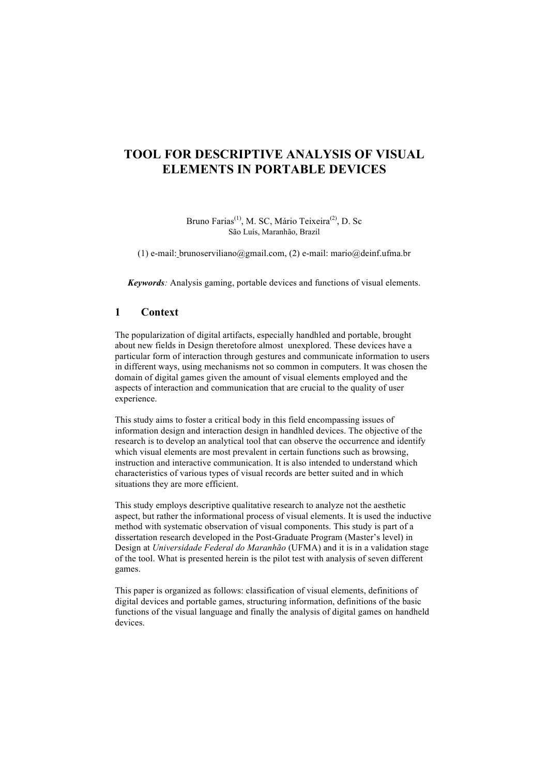# **TOOL FOR DESCRIPTIVE ANALYSIS OF VISUAL ELEMENTS IN PORTABLE DEVICES**

#### Bruno Farias<sup>(1)</sup>, M. SC, Mário Teixeira<sup>(2)</sup>, D. Sc São Luís, Maranhão, Brazil

(1) e-mail: brunoserviliano@gmail.com, (2) e-mail: mario@deinf.ufma.br

*Keywords:* Analysis gaming, portable devices and functions of visual elements.

### **1 Context**

The popularization of digital artifacts, especially handhled and portable, brought about new fields in Design theretofore almost unexplored. These devices have a particular form of interaction through gestures and communicate information to users in different ways, using mechanisms not so common in computers. It was chosen the domain of digital games given the amount of visual elements employed and the aspects of interaction and communication that are crucial to the quality of user experience.

This study aims to foster a critical body in this field encompassing issues of information design and interaction design in handhled devices. The objective of the research is to develop an analytical tool that can observe the occurrence and identify which visual elements are most prevalent in certain functions such as browsing, instruction and interactive communication. It is also intended to understand which characteristics of various types of visual records are better suited and in which situations they are more efficient.

This study employs descriptive qualitative research to analyze not the aesthetic aspect, but rather the informational process of visual elements. It is used the inductive method with systematic observation of visual components. This study is part of a dissertation research developed in the Post-Graduate Program (Master's level) in Design at *Universidade Federal do Maranhão* (UFMA) and it is in a validation stage of the tool. What is presented herein is the pilot test with analysis of seven different games.

This paper is organized as follows: classification of visual elements, definitions of digital devices and portable games, structuring information, definitions of the basic functions of the visual language and finally the analysis of digital games on handheld devices.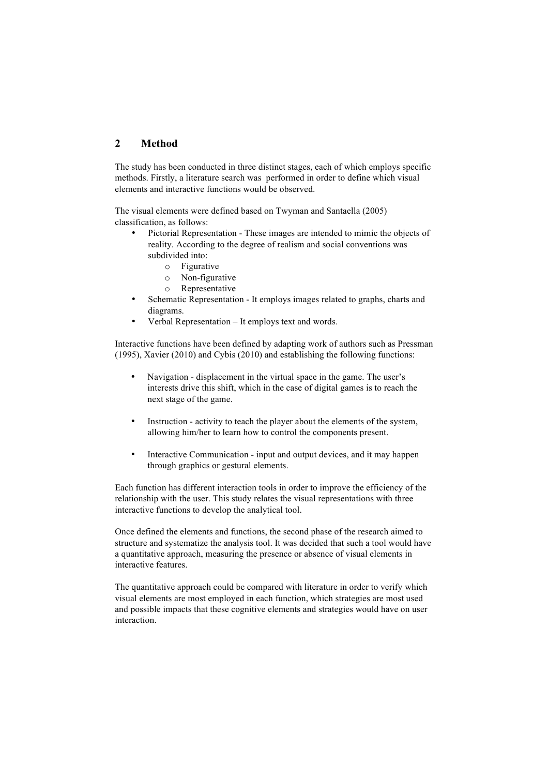# **2 Method**

The study has been conducted in three distinct stages, each of which employs specific methods. Firstly, a literature search was performed in order to define which visual elements and interactive functions would be observed.

The visual elements were defined based on Twyman and Santaella (2005) classification, as follows:

- Pictorial Representation These images are intended to mimic the objects of reality. According to the degree of realism and social conventions was subdivided into:
	- o Figurative
	- o Non-figurative
	- o Representative
- Schematic Representation It employs images related to graphs, charts and diagrams.
- Verbal Representation It employs text and words.

Interactive functions have been defined by adapting work of authors such as Pressman (1995), Xavier (2010) and Cybis (2010) and establishing the following functions:

- Navigation displacement in the virtual space in the game. The user's interests drive this shift, which in the case of digital games is to reach the next stage of the game.
- Instruction activity to teach the player about the elements of the system, allowing him/her to learn how to control the components present.
- Interactive Communication input and output devices, and it may happen through graphics or gestural elements.

Each function has different interaction tools in order to improve the efficiency of the relationship with the user. This study relates the visual representations with three interactive functions to develop the analytical tool.

Once defined the elements and functions, the second phase of the research aimed to structure and systematize the analysis tool. It was decided that such a tool would have a quantitative approach, measuring the presence or absence of visual elements in interactive features.

The quantitative approach could be compared with literature in order to verify which visual elements are most employed in each function, which strategies are most used and possible impacts that these cognitive elements and strategies would have on user interaction.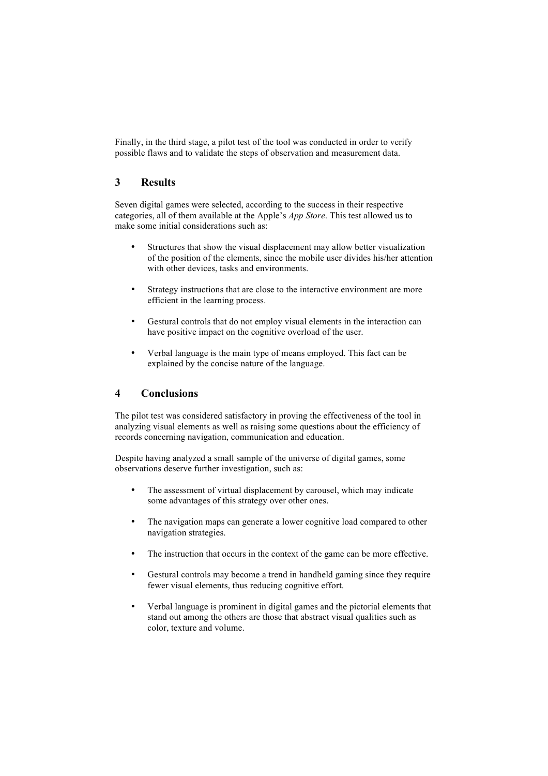Finally, in the third stage, a pilot test of the tool was conducted in order to verify possible flaws and to validate the steps of observation and measurement data.

## **3 Results**

Seven digital games were selected, according to the success in their respective categories, all of them available at the Apple's *App Store*. This test allowed us to make some initial considerations such as:

- Structures that show the visual displacement may allow better visualization of the position of the elements, since the mobile user divides his/her attention with other devices, tasks and environments.
- Strategy instructions that are close to the interactive environment are more efficient in the learning process.
- Gestural controls that do not employ visual elements in the interaction can have positive impact on the cognitive overload of the user.
- Verbal language is the main type of means employed. This fact can be explained by the concise nature of the language.

### **4 Conclusions**

The pilot test was considered satisfactory in proving the effectiveness of the tool in analyzing visual elements as well as raising some questions about the efficiency of records concerning navigation, communication and education.

Despite having analyzed a small sample of the universe of digital games, some observations deserve further investigation, such as:

- The assessment of virtual displacement by carousel, which may indicate some advantages of this strategy over other ones.
- The navigation maps can generate a lower cognitive load compared to other navigation strategies.
- The instruction that occurs in the context of the game can be more effective.
- Gestural controls may become a trend in handheld gaming since they require fewer visual elements, thus reducing cognitive effort.
- Verbal language is prominent in digital games and the pictorial elements that stand out among the others are those that abstract visual qualities such as color, texture and volume.